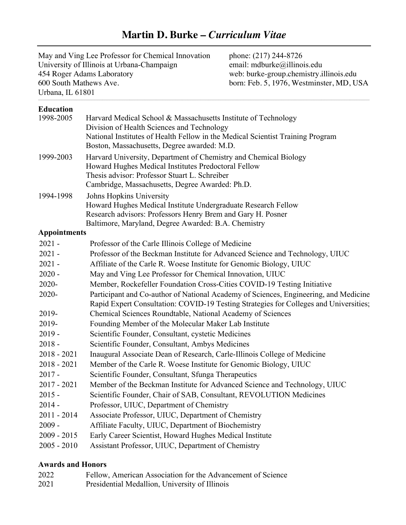# **Martin D. Burke –** *Curriculum Vitae*

| May and Ving Lee Professor for Chemical Innovation | phone: (217) 244-8726                    |
|----------------------------------------------------|------------------------------------------|
| University of Illinois at Urbana-Champaign         | email: mdburke@illinois.edu              |
| 454 Roger Adams Laboratory                         | web: burke-group.chemistry.illinois.edu  |
| 600 South Mathews Ave.                             | born: Feb. 5, 1976, Westminster, MD, USA |
| Urbana, IL 61801                                   |                                          |

# **Education**

| <b>Education</b>    |                                                                                                                              |
|---------------------|------------------------------------------------------------------------------------------------------------------------------|
| 1998-2005           | Harvard Medical School & Massachusetts Institute of Technology                                                               |
|                     | Division of Health Sciences and Technology                                                                                   |
|                     | National Institutes of Health Fellow in the Medical Scientist Training Program                                               |
|                     | Boston, Massachusetts, Degree awarded: M.D.                                                                                  |
| 1999-2003           | Harvard University, Department of Chemistry and Chemical Biology                                                             |
|                     | Howard Hughes Medical Institutes Predoctoral Fellow                                                                          |
|                     | Thesis advisor: Professor Stuart L. Schreiber                                                                                |
|                     | Cambridge, Massachusetts, Degree Awarded: Ph.D.                                                                              |
| 1994-1998           | Johns Hopkins University                                                                                                     |
|                     | Howard Hughes Medical Institute Undergraduate Research Fellow<br>Research advisors: Professors Henry Brem and Gary H. Posner |
|                     | Baltimore, Maryland, Degree Awarded: B.A. Chemistry                                                                          |
| <b>Appointments</b> |                                                                                                                              |
| $2021 -$            | Professor of the Carle Illinois College of Medicine                                                                          |
| $2021 -$            | Professor of the Beckman Institute for Advanced Science and Technology, UIUC                                                 |
| $2021 -$            | Affiliate of the Carle R. Woese Institute for Genomic Biology, UIUC                                                          |
| $2020 -$            | May and Ving Lee Professor for Chemical Innovation, UIUC                                                                     |
| 2020-               | Member, Rockefeller Foundation Cross-Cities COVID-19 Testing Initiative                                                      |
| 2020-               | Participant and Co-author of National Academy of Sciences, Engineering, and Medicine                                         |
|                     | Rapid Expert Consultation: COVID-19 Testing Strategies for Colleges and Universities;                                        |
| 2019-               | Chemical Sciences Roundtable, National Academy of Sciences                                                                   |
| 2019-               | Founding Member of the Molecular Maker Lab Institute                                                                         |
| $2019 -$            | Scientific Founder, Consultant, cystetic Medicines                                                                           |
| $2018 -$            | Scientific Founder, Consultant, Ambys Medicines                                                                              |
| $2018 - 2021$       | Inaugural Associate Dean of Research, Carle-Illinois College of Medicine                                                     |
| $2018 - 2021$       | Member of the Carle R. Woese Institute for Genomic Biology, UIUC                                                             |
| $2017 -$            | Scientific Founder, Consultant, Sfunga Therapeutics                                                                          |
| $2017 - 2021$       | Member of the Beckman Institute for Advanced Science and Technology, UIUC                                                    |
| $2015 -$            | Scientific Founder, Chair of SAB, Consultant, REVOLUTION Medicines                                                           |
| $2014 -$            | Professor, UIUC, Department of Chemistry                                                                                     |
| $2011 - 2014$       | Associate Professor, UIUC, Department of Chemistry                                                                           |
| $2009 -$            | Affiliate Faculty, UIUC, Department of Biochemistry                                                                          |
| $2009 - 2015$       | Early Career Scientist, Howard Hughes Medical Institute                                                                      |
| $2005 - 2010$       | Assistant Professor, UIUC, Department of Chemistry                                                                           |

# **Awards and Honors**

| 2022 | Fellow, American Association for the Advancement of Science |
|------|-------------------------------------------------------------|
| 2021 | Presidential Medallion, University of Illinois              |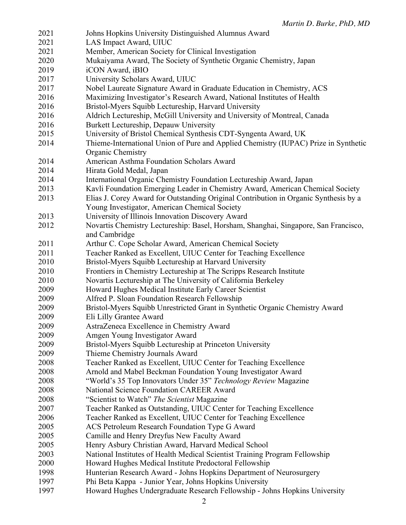| 2021 | Johns Hopkins University Distinguished Alumnus Award                                 |
|------|--------------------------------------------------------------------------------------|
| 2021 | LAS Impact Award, UIUC                                                               |
| 2021 | Member, American Society for Clinical Investigation                                  |
| 2020 | Mukaiyama Award, The Society of Synthetic Organic Chemistry, Japan                   |
| 2019 | iCON Award, iBIO                                                                     |
| 2017 | University Scholars Award, UIUC                                                      |
| 2017 | Nobel Laureate Signature Award in Graduate Education in Chemistry, ACS               |
| 2016 | Maximizing Investigator's Research Award, National Institutes of Health              |
| 2016 | Bristol-Myers Squibb Lectureship, Harvard University                                 |
| 2016 | Aldrich Lectureship, McGill University and University of Montreal, Canada            |
| 2016 | Burkett Lectureship, Depauw University                                               |
| 2015 | University of Bristol Chemical Synthesis CDT-Syngenta Award, UK                      |
| 2014 | Thieme-International Union of Pure and Applied Chemistry (IUPAC) Prize in Synthetic  |
|      | Organic Chemistry                                                                    |
| 2014 | American Asthma Foundation Scholars Award                                            |
| 2014 | Hirata Gold Medal, Japan                                                             |
| 2014 | International Organic Chemistry Foundation Lectureship Award, Japan                  |
| 2013 | Kavli Foundation Emerging Leader in Chemistry Award, American Chemical Society       |
| 2013 | Elias J. Corey Award for Outstanding Original Contribution in Organic Synthesis by a |
|      | Young Investigator, American Chemical Society                                        |
| 2013 | University of Illinois Innovation Discovery Award                                    |
| 2012 | Novartis Chemistry Lectureship: Basel, Horsham, Shanghai, Singapore, San Francisco,  |
|      | and Cambridge                                                                        |
| 2011 | Arthur C. Cope Scholar Award, American Chemical Society                              |
| 2011 | Teacher Ranked as Excellent, UIUC Center for Teaching Excellence                     |
| 2010 | Bristol-Myers Squibb Lectureship at Harvard University                               |
| 2010 |                                                                                      |
|      | Frontiers in Chemistry Lectureship at The Scripps Research Institute                 |
| 2010 | Novartis Lectureship at The University of California Berkeley                        |
| 2009 | Howard Hughes Medical Institute Early Career Scientist                               |
| 2009 | Alfred P. Sloan Foundation Research Fellowship                                       |
| 2009 | Bristol-Myers Squibb Unrestricted Grant in Synthetic Organic Chemistry Award         |
| 2009 | Eli Lilly Grantee Award                                                              |
| 2009 | AstraZeneca Excellence in Chemistry Award                                            |
| 2009 | Amgen Young Investigator Award                                                       |
| 2009 | Bristol-Myers Squibb Lectureship at Princeton University                             |
| 2009 | Thieme Chemistry Journals Award                                                      |
| 2008 | Teacher Ranked as Excellent, UIUC Center for Teaching Excellence                     |
| 2008 | Arnold and Mabel Beckman Foundation Young Investigator Award                         |
| 2008 | "World's 35 Top Innovators Under 35" Technology Review Magazine                      |
| 2008 | <b>National Science Foundation CAREER Award</b>                                      |
| 2008 | "Scientist to Watch" The Scientist Magazine                                          |
| 2007 | Teacher Ranked as Outstanding, UIUC Center for Teaching Excellence                   |
| 2006 | Teacher Ranked as Excellent, UIUC Center for Teaching Excellence                     |
| 2005 | ACS Petroleum Research Foundation Type G Award                                       |
| 2005 | Camille and Henry Dreyfus New Faculty Award                                          |
| 2005 | Henry Asbury Christian Award, Harvard Medical School                                 |
| 2003 | National Institutes of Health Medical Scientist Training Program Fellowship          |
| 2000 | Howard Hughes Medical Institute Predoctoral Fellowship                               |
| 1998 | Hunterian Research Award - Johns Hopkins Department of Neurosurgery                  |
| 1997 | Phi Beta Kappa - Junior Year, Johns Hopkins University                               |
| 1997 | Howard Hughes Undergraduate Research Fellowship - Johns Hopkins University           |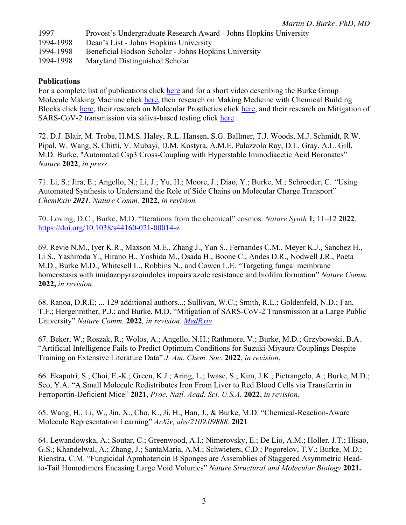| 1997      | Provost's Undergraduate Research Award - Johns Hopkins University |
|-----------|-------------------------------------------------------------------|
| 1994-1998 | Dean's List - Johns Hopkins University                            |
| 1994-1998 | Beneficial Hodson Scholar - Johns Hopkins University              |
| 1994-1998 | Maryland Distinguished Scholar                                    |

#### **Publications**

For a complete list of publications click here and for a short video describing the Burke Group Molecule Making Machine click here, their research on Making Medicine with Chemical Building Blocks click here, their research on Molecular Prosthetics click here, and their research on Mitigation of SARS-CoV-2 transmission via saliva-based testing click here.

72. D.J. Blair, M. Trobe, H.M.S. Haley, R.L. Hansen, S.G. Ballmer, T.J. Woods, M.J. Schmidt, R.W. Pipal, W. Wang, S. Chitti, V. Mubayi, D.M. Kostyra, A.M.E. Palazzolo Ray, D.L. Gray, A.L. Gill, M.D. Burke, "Automated Csp3 Cross-Coupling with Hyperstable Iminodiacetic Acid Boronates" *Nature* **2022**, *in press*.

71. Li, S.; Jira, E.; Angello, N.; Li, J.; Yu, H.; Moore, J.; Diao, Y.; Burke, M.; Schroeder, C. *"*Using Automated Synthesis to Understand the Role of Side Chains on Molecular Charge Transport" *ChemRxiv 2021. Nature Comm.* **2022,** *in revision.* 

70. Loving, D.C., Burke, M.D. "Iterations from the chemical" cosmos. *Nature Synth* **1,** 11–12 **2022**. https://doi.org/10.1038/s44160-021-00014-z

69. Revie N.M., Iyer K.R., Maxson M.E., Zhang J., Yan S., Fernandes C.M., Meyer K.J., Sanchez H., Li S., Yashiroda Y., Hirano H., Yoshida M., Osada H., Boone C., Andes D.R., Nodwell J.R., Poeta M.D., Burke M.D., Whitesell L., Robbins N., and Cowen L.E. "Targeting fungal membrane homeostasis with imidazopyrazoindoles impairs azole resistance and biofilm formation" *Nature Comm.*  **2022,** *in revision.*

68. Ranoa, D.R.E; ... 129 additional authors...; Sullivan, W.C.; Smith, R.L.; Goldenfeld, N.D.; Fan, T.F.; Hergenrother, P.J.; and Burke, M.D. "Mitigation of SARS-CoV-2 Transmission at a Large Public University" *Nature Comm.* **2022***, in revision. MedRxiv*

67. Beker, W.; Roszak, R.; Wolos, A.; Angello, N.H.; Rathmore, V.; Burke, M.D.; Grzybowski, B.A. "Artificial Intelligence Fails to Predict Optimum Conditions for Suzuki-Miyaura Couplings Despite Training on Extensive Literature Data" *J. Am. Chem. Soc.* **2022**, *in revision*.

66. Ekaputri, S.; Choi, E.-K.; Green, K.J.; Aring, L.; Iwase, S.; Kim, J.K.; Pietrangelo, A.; Burke, M.D.; Seo, Y.A. "A Small Molecule Redistributes Iron From Liver to Red Blood Cells via Transferrin in Ferroportin-Deficient Mice" **2021**, *Proc. Natl. Acad. Sci. U.S.A.* **2022**, *in revision*.

65. Wang, H., Li, W., Jin, X., Cho, K., Ji, H., Han, J., & Burke, M.D. "Chemical-Reaction-Aware Molecule Representation Learning" *ArXiv, abs/2109.09888*. **2021**

64. Lewandowska, A.; Soutar, C.; Greenwood, A.I.; Nimerovsky, E.; De Lio, A.M.; Holler, J.T.; Hisao, G.S.; Khandelwal, A.; Zhang, J.; SantaMaria, A.M.; Schwieters, C.D.; Pogorelov, T.V.; Burke, M.D.; Rienstra, C.M. "Fungicidal Apmhotericin B Sponges are Assemblies of Staggered Asymmetric Headto-Tail Homodimers Encasing Large Void Volumes" *Nature Structural and Molecular Biology* **2021.**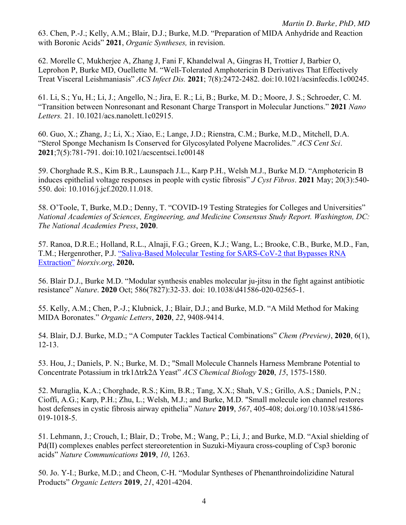63. Chen, P.-J.; Kelly, A.M.; Blair, D.J.; Burke, M.D. "Preparation of MIDA Anhydride and Reaction with Boronic Acids" **2021**, *Organic Syntheses,* in revision.

62. Morelle C, Mukherjee A, Zhang J, Fani F, Khandelwal A, Gingras H, Trottier J, Barbier O, Leprohon P, Burke MD, Ouellette M. "Well-Tolerated Amphotericin B Derivatives That Effectively Treat Visceral Leishmaniasis" *ACS Infect Dis.* **2021**; 7(8):2472-2482. doi:10.1021/acsinfecdis.1c00245.

61. Li, S.; Yu, H.; Li, J.; Angello, N.; Jira, E. R.; Li, B.; Burke, M. D.; Moore, J. S.; Schroeder, C. M. "Transition between Nonresonant and Resonant Charge Transport in Molecular Junctions." **2021** *Nano Letters.* 21. 10.1021/acs.nanolett.1c02915.

60. Guo, X.; Zhang, J.; Li, X.; Xiao, E.; Lange, J.D.; Rienstra, C.M.; Burke, M.D., Mitchell, D.A. "Sterol Sponge Mechanism Is Conserved for Glycosylated Polyene Macrolides." *ACS Cent Sci*. **2021**;7(5):781-791. doi:10.1021/acscentsci.1c00148

59. Chorghade R.S., Kim B.R., Launspach J.L., Karp P.H., Welsh M.J., Burke M.D. "Amphotericin B induces epithelial voltage responses in people with cystic fibrosis" *J Cyst Fibros*. **2021** May; 20(3):540- 550. doi: 10.1016/j.jcf.2020.11.018.

58. O'Toole, T, Burke, M.D.; Denny, T. "COVID-19 Testing Strategies for Colleges and Universities" *National Academies of Sciences, Engineering, and Medicine Consensus Study Report. Washington, DC: The National Academies Press*, **2020**.

57. Ranoa, D.R.E.; Holland, R.L., Alnaji, F.G.; Green, K.J.; Wang, L.; Brooke, C.B., Burke, M.D., Fan, T.M.; Hergenrother, P.J. "Saliva-Based Molecular Testing for SARS-CoV-2 that Bypasses RNA Extraction" *biorxiv.org*, **2020.**

56. Blair D.J., Burke M.D. "Modular synthesis enables molecular ju-jitsu in the fight against antibiotic resistance" *Nature*. **2020** Oct; 586(7827):32-33. doi: 10.1038/d41586-020-02565-1.

55. Kelly, A.M.; Chen, P.-J.; Klubnick, J.; Blair, D.J.; and Burke, M.D. "A Mild Method for Making MIDA Boronates." *Organic Letters*, **2020**, *22*, 9408-9414.

54. Blair, D.J. Burke, M.D.; "A Computer Tackles Tactical Combinations" *Chem (Preview)*, **2020**, 6(1), 12-13.

53. Hou, J.; Daniels, P. N.; Burke, M. D.; "Small Molecule Channels Harness Membrane Potential to Concentrate Potassium in trk1Δtrk2Δ Yeast" *ACS Chemical Biology* **2020**, *15*, 1575-1580.

52. Muraglia, K.A.; Chorghade, R.S.; Kim, B.R.; Tang, X.X.; Shah, V.S.; Grillo, A.S.; Daniels, P.N.; Cioffi, A.G.; Karp, P.H.; Zhu, L.; Welsh, M.J.; and Burke, M.D. "Small molecule ion channel restores host defenses in cystic fibrosis airway epithelia" *Nature* **2019**, *567*, 405-408; doi.org/10.1038/s41586- 019-1018-5.

51. Lehmann, J.; Crouch, I.; Blair, D.; Trobe, M.; Wang, P.; Li, J.; and Burke, M.D. "Axial shielding of Pd(II) complexes enables perfect stereoretention in Suzuki-Miyaura cross-coupling of Csp3 boronic acids" *Nature Communications* **2019**, *10*, 1263.

50. Jo. Y-I.; Burke, M.D.; and Cheon, C-H. "Modular Syntheses of Phenanthroindolizidine Natural Products" *Organic Letters* **2019**, *21*, 4201-4204.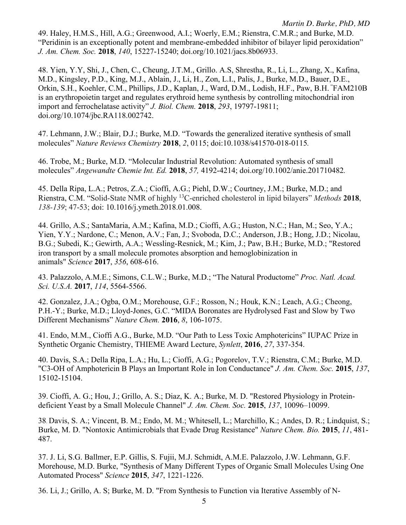49. Haley, H.M.S., Hill, A.G.; Greenwood, A.I.; Woerly, E.M.; Rienstra, C.M.R.; and Burke, M.D. "Peridinin is an exceptionally potent and membrane-embedded inhibitor of bilayer lipid peroxidation" *J. Am. Chem. Soc.* **2018**, *140*, 15227-15240; doi.org/10.1021/jacs.8b06933.

48. Yien, Y.Y, Shi, J., Chen, C., Cheung, J.T.M., Grillo. A.S, Shrestha, R., Li, L., Zhang, X., Kafina, M.D., Kingsley, P.D., King, M.J., Ablain, J., Li, H., Zon, L.I., Palis, J., Burke, M.D., Bauer, D.E., Orkin, S.H., Koehler, C.M., Phillips, J.D., Kaplan, J., Ward, D.M., Lodish, H.F., Paw, B.H. " FAM210B is an erythropoietin target and regulates erythroid heme synthesis by controlling mitochondrial iron import and ferrochelatase activity" *J. Biol. Chem.* **2018**, *293*, 19797-19811; doi.org/10.1074/jbc.RA118.002742.

47. Lehmann, J.W.; Blair, D.J.; Burke, M.D. "Towards the generalized iterative synthesis of small molecules" *Nature Reviews Chemistry* **2018**, *2*, 0115; doi:10.1038/s41570-018-0115*.* 

46. Trobe, M.; Burke, M.D. "Molecular Industrial Revolution: Automated synthesis of small molecules" *Angewandte Chemie Int. Ed.* **2018**, *57,* 4192-4214; doi.org/10.1002/anie.201710482*.*

45. Della Ripa, L.A.; Petros, Z.A.; Cioffi, A.G.; Piehl, D.W.; Courtney, J.M.; Burke, M.D.; and Rienstra, C.M. "Solid-State NMR of highly 13C-enriched cholesterol in lipid bilayers" *Methods* **2018**, *138-139*; 47-53; doi: 10.1016/j.ymeth.2018.01.008.

44. Grillo, A.S.; SantaMaria, A.M.; Kafina, M.D.; Cioffi, A.G.; Huston, N.C.; Han, M.; Seo, Y.A.; Yien, Y.Y.; Nardone, C.; Menon, A.V.; Fan, J.; Svoboda, D.C.; Anderson, J.B.; Hong, J.D.; Nicolau, B.G.; Subedi, K.; Gewirth, A.A.; Wessling-Resnick, M.; Kim, J.; Paw, B.H.; Burke, M.D.; "Restored iron transport by a small molecule promotes absorption and hemoglobinization in animals" *Science* **2017**, *356*, 608-616.

43. Palazzolo, A.M.E.; Simons, C.L.W.; Burke, M.D.; "The Natural Productome" *Proc. Natl. Acad. Sci. U.S.A.* **2017**, *114*, 5564-5566.

42. Gonzalez, J.A.; Ogba, O.M.; Morehouse, G.F.; Rosson, N.; Houk, K.N.; Leach, A.G.; Cheong, P.H.-Y.; Burke, M.D.; Lloyd-Jones, G.C. "MIDA Boronates are Hydrolysed Fast and Slow by Two Different Mechanisms" *Nature Chem.* **2016**, *8*, 106-1075.

41. Endo, M.M., Cioffi A.G., Burke, M.D. "Our Path to Less Toxic Amphotericins" IUPAC Prize in Synthetic Organic Chemistry, THIEME Award Lecture, *Synlett*, **2016**, *27*, 337-354.

40. Davis, S.A.; Della Ripa, L.A.; Hu, L.; Cioffi, A.G.; Pogorelov, T.V.; Rienstra, C.M.; Burke, M.D. "C3-OH of Amphotericin B Plays an Important Role in Ion Conductance" *J. Am. Chem. Soc.* **2015**, *137*, 15102-15104.

39. Cioffi, A. G.; Hou, J.; Grillo, A. S.; Diaz, K. A.; Burke, M. D. "Restored Physiology in Proteindeficient Yeast by a Small Molecule Channel" *J. Am. Chem. Soc.* **2015**, *137*, 10096–10099.

38. Davis, S. A.; Vincent, B. M.; Endo, M. M.; Whitesell, L.; Marchillo, K.; Andes, D. R.; Lindquist, S.; Burke, M. D. "Nontoxic Antimicrobials that Evade Drug Resistance" *Nature Chem. Bio.* **2015**, *11*, 481- 487.

37. J. Li, S.G. Ballmer, E.P. Gillis, S. Fujii, M.J. Schmidt, A.M.E. Palazzolo, J.W. Lehmann, G.F. Morehouse, M.D. Burke, "Synthesis of Many Different Types of Organic Small Molecules Using One Automated Process" *Science* **2015**, *347*, 1221-1226.

36. Li, J.; Grillo, A. S; Burke, M. D. "From Synthesis to Function via Iterative Assembly of N-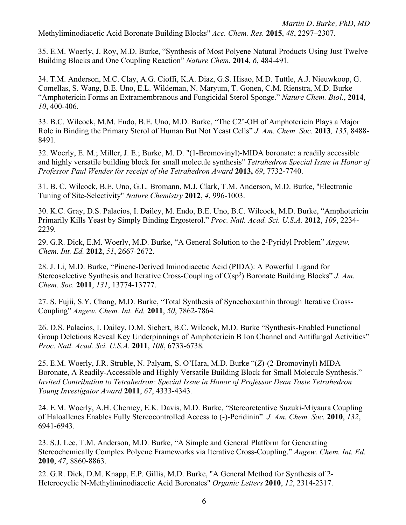*Martin D. Burke, PhD, MD* Methyliminodiacetic Acid Boronate Building Blocks" *Acc. Chem. Res.* **2015**, *48*, 2297–2307.

35. E.M. Woerly, J. Roy, M.D. Burke, "Synthesis of Most Polyene Natural Products Using Just Twelve Building Blocks and One Coupling Reaction" *Nature Chem.* **2014**, *6*, 484-491*.*

34. T.M. Anderson, M.C. Clay, A.G. Cioffi, K.A. Diaz, G.S. Hisao, M.D. Tuttle, A.J. Nieuwkoop, G. Comellas, S. Wang, B.E. Uno, E.L. Wildeman, N. Maryum, T. Gonen, C.M. Rienstra, M.D. Burke "Amphotericin Forms an Extramembranous and Fungicidal Sterol Sponge." *Nature Chem. Biol.*, **2014**, *10*, 400-406.

33. B.C. Wilcock, M.M. Endo, B.E. Uno, M.D. Burke, "The C2'-OH of Amphotericin Plays a Major Role in Binding the Primary Sterol of Human But Not Yeast Cells" *J. Am. Chem. Soc.* **2013***, 135*, 8488- 8491*.*

32. Woerly, E. M.; Miller, J. E.; Burke, M. D. "(1-Bromovinyl)-MIDA boronate: a readily accessible and highly versatile building block for small molecule synthesis" *Tetrahedron Special Issue in Honor of Professor Paul Wender for receipt of the Tetrahedron Award* **2013,** *69*, 7732-7740.

31. B. C. Wilcock, B.E. Uno, G.L. Bromann, M.J. Clark, T.M. Anderson, M.D. Burke, "Electronic Tuning of Site-Selectivity" *Nature Chemistry* **2012**, *4*, 996-1003.

30. K.C. Gray, D.S. Palacios, I. Dailey, M. Endo, B.E. Uno, B.C. Wilcock, M.D. Burke, "Amphotericin Primarily Kills Yeast by Simply Binding Ergosterol." *Proc. Natl. Acad. Sci. U.S.A.* **2012**, *109*, 2234- 2239*.*

29. G.R. Dick, E.M. Woerly, M.D. Burke, "A General Solution to the 2-Pyridyl Problem" *Angew. Chem. Int. Ed.* **2012**, *51*, 2667-2672.

28. J. Li, M.D. Burke, "Pinene-Derived Iminodiacetic Acid (PIDA): A Powerful Ligand for Stereoselective Synthesis and Iterative Cross-Coupling of C(sp<sup>3</sup>) Boronate Building Blocks" *J. Am. Chem. Soc.* **2011**, *131*, 13774-13777.

27. S. Fujii, S.Y. Chang, M.D. Burke, "Total Synthesis of Synechoxanthin through Iterative Cross-Coupling" *Angew. Chem. Int. Ed.* **2011**, *50*, 7862-7864*.*

26. D.S. Palacios, I. Dailey, D.M. Siebert, B.C. Wilcock, M.D. Burke "Synthesis-Enabled Functional Group Deletions Reveal Key Underpinnings of Amphotericin B Ion Channel and Antifungal Activities" *Proc. Natl. Acad. Sci. U.S.A.* **2011**, *108*, 6733-6738*.*

25. E.M. Woerly, J.R. Struble, N. Palyam, S. O'Hara, M.D. Burke "(*Z*)-(2-Bromovinyl) MIDA Boronate, A Readily-Accessible and Highly Versatile Building Block for Small Molecule Synthesis." *Invited Contribution to Tetrahedron: Special Issue in Honor of Professor Dean Toste Tetrahedron Young Investigator Award* **2011**, *67*, 4333-4343*.*

24. E.M. Woerly, A.H. Cherney, E.K. Davis, M.D. Burke, "Stereoretentive Suzuki-Miyaura Coupling of Haloallenes Enables Fully Stereocontrolled Access to (-)-Peridinin"*J. Am. Chem. Soc.* **2010**, *132*, 6941-6943.

23. S.J. Lee, T.M. Anderson, M.D. Burke, "A Simple and General Platform for Generating Stereochemically Complex Polyene Frameworks via Iterative Cross-Coupling." *Angew. Chem. Int. Ed.*  **2010**, *47*, 8860-8863.

22. G.R. Dick, D.M. Knapp, E.P. Gillis, M.D. Burke, "A General Method for Synthesis of 2- Heterocyclic N-Methyliminodiacetic Acid Boronates" *Organic Letters* **2010**, *12*, 2314-2317.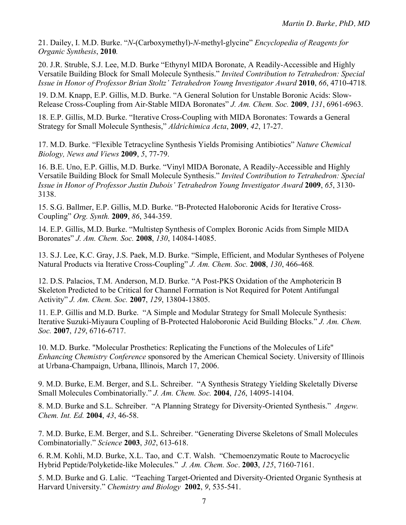21. Dailey, I. M.D. Burke. "*N*-(Carboxymethyl)-*N*-methyl-glycine" *Encyclopedia of Reagents for Organic Synthesis*, **2010***.*

20. J.R. Struble, S.J. Lee, M.D. Burke "Ethynyl MIDA Boronate, A Readily-Accessible and Highly Versatile Building Block for Small Molecule Synthesis." *Invited Contribution to Tetrahedron: Special Issue in Honor of Professor Brian Stoltz' Tetrahedron Young Investigator Award* **2010**, *66*, 4710-4718*.*

19. D.M. Knapp, E.P. Gillis, M.D. Burke. "A General Solution for Unstable Boronic Acids: Slow-Release Cross-Coupling from Air-Stable MIDA Boronates" *J. Am. Chem. Soc.* **2009**, *131*, 6961-6963.

18. E.P. Gillis, M.D. Burke. "Iterative Cross-Coupling with MIDA Boronates: Towards a General Strategy for Small Molecule Synthesis," *Aldrichimica Acta*, **2009**, *42*, 17-27.

17. M.D. Burke. "Flexible Tetracycline Synthesis Yields Promising Antibiotics" *Nature Chemical Biology, News and Views* **2009**, *5*, 77-79.

16. B.E. Uno, E.P. Gillis, M.D. Burke. "Vinyl MIDA Boronate, A Readily-Accessible and Highly Versatile Building Block for Small Molecule Synthesis." *Invited Contribution to Tetrahedron: Special Issue in Honor of Professor Justin Dubois' Tetrahedron Young Investigator Award* **2009**, *65*, 3130- 3138.

15. S.G. Ballmer, E.P. Gillis, M.D. Burke. "B-Protected Haloboronic Acids for Iterative Cross-Coupling" *Org. Synth.* **2009**, *86*, 344-359.

14. E.P. Gillis, M.D. Burke. "Multistep Synthesis of Complex Boronic Acids from Simple MIDA Boronates" *J. Am. Chem. Soc.* **2008**, *130*, 14084-14085.

13. S.J. Lee, K.C. Gray, J.S. Paek, M.D. Burke. "Simple, Efficient, and Modular Syntheses of Polyene Natural Products via Iterative Cross-Coupling" *J. Am. Chem. Soc.* **2008**, *130*, 466-468*.*

12. D.S. Palacios, T.M. Anderson, M.D. Burke. "A Post-PKS Oxidation of the Amphotericin B Skeleton Predicted to be Critical for Channel Formation is Not Required for Potent Antifungal Activity" *J. Am. Chem. Soc.* **2007**, *129*, 13804-13805.

11. E.P. Gillis and M.D. Burke. "A Simple and Modular Strategy for Small Molecule Synthesis: Iterative Suzuki-Miyaura Coupling of B-Protected Haloboronic Acid Building Blocks." *J. Am. Chem. Soc.* **2007**, *129*, 6716-6717.

10. M.D. Burke. "Molecular Prosthetics: Replicating the Functions of the Molecules of Life" *Enhancing Chemistry Conference* sponsored by the American Chemical Society. University of Illinois at Urbana-Champaign, Urbana, Illinois, March 17, 2006.

9. M.D. Burke, E.M. Berger, and S.L. Schreiber. "A Synthesis Strategy Yielding Skeletally Diverse Small Molecules Combinatorially." *J. Am. Chem. Soc.* **2004**, *126*, 14095-14104.

8. M.D. Burke and S.L. Schreiber. "A Planning Strategy for Diversity-Oriented Synthesis." *Angew. Chem. Int. Ed.* **2004**, *43*, 46-58.

7. M.D. Burke, E.M. Berger, and S.L. Schreiber. "Generating Diverse Skeletons of Small Molecules Combinatorially." *Science* **2003**, *302*, 613-618.

6. R.M. Kohli, M.D. Burke, X.L. Tao, and C.T. Walsh. "Chemoenzymatic Route to Macrocyclic Hybrid Peptide/Polyketide-like Molecules." *J. Am. Chem. Soc*. **2003**, *125*, 7160-7161.

5. M.D. Burke and G. Lalic. "Teaching Target-Oriented and Diversity-Oriented Organic Synthesis at Harvard University." *Chemistry and Biology* **2002**, *9*, 535-541.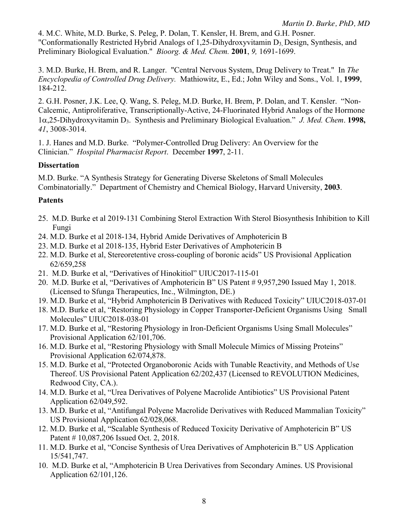4. M.C. White, M.D. Burke, S. Peleg, P. Dolan, T. Kensler, H. Brem, and G.H. Posner. "Conformationally Restricted Hybrid Analogs of 1,25-Dihydroxyvitamin  $D_3$ , Design, Synthesis, and Preliminary Biological Evaluation." *Bioorg. & Med. Chem.* **2001**, *9,* 1691-1699.

3. M.D. Burke, H. Brem, and R. Langer. "Central Nervous System, Drug Delivery to Treat." In *The Encyclopedia of Controlled Drug Delivery.* Mathiowitz, E., Ed.; John Wiley and Sons., Vol. 1, **1999**, 184-212.

2. G.H. Posner, J.K. Lee, Q. Wang, S. Peleg, M.D. Burke, H. Brem, P. Dolan, and T. Kensler. "Non-Calcemic, Antiproliferative, Transcriptionally-Active, 24-Fluorinated Hybrid Analogs of the Hormone 1a,25-Dihydroxyvitamin D3. Synthesis and Preliminary Biological Evaluation." *J. Med. Chem*. **1998,**  *41*, 3008-3014.

1. J. Hanes and M.D. Burke. "Polymer-Controlled Drug Delivery: An Overview for the Clinician." *Hospital Pharmacist Report*. December **1997**, 2-11.

# **Dissertation**

M.D. Burke. "A Synthesis Strategy for Generating Diverse Skeletons of Small Molecules Combinatorially." Department of Chemistry and Chemical Biology, Harvard University, **2003**.

# **Patents**

- 25. M.D. Burke et al 2019-131 Combining Sterol Extraction With Sterol Biosynthesis Inhibition to Kill Fungi
- 24. M.D. Burke et al 2018-134, Hybrid Amide Derivatives of Amphotericin B
- 23. M.D. Burke et al 2018-135, Hybrid Ester Derivatives of Amphotericin B
- 22. M.D. Burke et al, Stereoretentive cross-coupling of boronic acids" US Provisional Application 62/659,258
- 21. M.D. Burke et al, "Derivatives of Hinokitiol" UIUC2017-115-01
- 20. M.D. Burke et al, "Derivatives of Amphotericin B" US Patent # 9,957,290 Issued May 1, 2018. (Licensed to Sfunga Therapeutics, Inc., Wilmington, DE.)
- 19. M.D. Burke et al, "Hybrid Amphotericin B Derivatives with Reduced Toxicity" UIUC2018-037-01
- 18. M.D. Burke et al, "Restoring Physiology in Copper Transporter-Deficient Organisms Using Small Molecules" UIUC2018-038-01
- 17. M.D. Burke et al, "Restoring Physiology in Iron-Deficient Organisms Using Small Molecules" Provisional Application 62/101,706.
- 16. M.D. Burke et al, "Restoring Physiology with Small Molecule Mimics of Missing Proteins" Provisional Application 62/074,878.
- 15. M.D. Burke et al, "Protected Organoboronic Acids with Tunable Reactivity, and Methods of Use Thereof. US Provisional Patent Application 62/202,437 (Licensed to REVOLUTION Medicines, Redwood City, CA.).
- 14. M.D. Burke et al, "Urea Derivatives of Polyene Macrolide Antibiotics" US Provisional Patent Application 62/049,592.
- 13. M.D. Burke et al, "Antifungal Polyene Macrolide Derivatives with Reduced Mammalian Toxicity" US Provisional Application 62/028,068.
- 12. M.D. Burke et al, "Scalable Synthesis of Reduced Toxicity Derivative of Amphotericin B" US Patent # 10,087,206 Issued Oct. 2, 2018.
- 11. M.D. Burke et al, "Concise Synthesis of Urea Derivatives of Amphotericin B." US Application 15/541,747.
- 10. M.D. Burke et al, "Amphotericin B Urea Derivatives from Secondary Amines. US Provisional Application 62/101,126.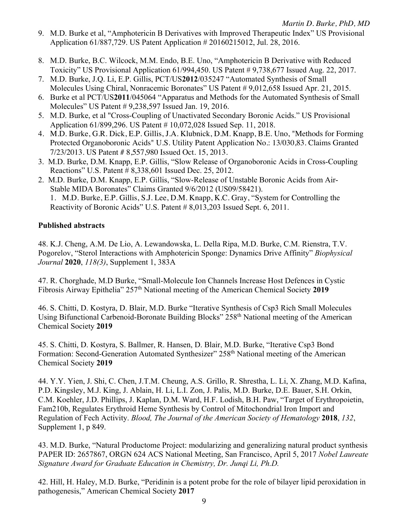- 9. M.D. Burke et al, "Amphotericin B Derivatives with Improved Therapeutic Index" US Provisional Application 61/887,729. US Patent Application # 20160215012, Jul. 28, 2016.
- 8. M.D. Burke, B.C. Wilcock, M.M. Endo, B.E. Uno, "Amphotericin B Derivative with Reduced Toxicity" US Provisional Application 61/994,450. US Patent # 9,738,677 Issued Aug. 22, 2017.
- 7. M.D. Burke, J.Q. Li, E.P. Gillis, PCT/US**2012**/035247 "Automated Synthesis of Small Molecules Using Chiral, Nonracemic Boronates" US Patent # 9,012,658 Issued Apr. 21, 2015.
- 6. Burke et al PCT/US**2011**/045064 "Apparatus and Methods for the Automated Synthesis of Small Molecules" US Patent # 9,238,597 Issued Jan. 19, 2016.
- 5. M.D. Burke, et al "Cross-Coupling of Unactivated Secondary Boronic Acids." US Provisional Application 61/899,296. US Patent # 10,072,028 Issued Sep. 11, 2018.
- 4. M.D. Burke, G.R. Dick, E.P. Gillis, J.A. Klubnick, D.M. Knapp, B.E. Uno, "Methods for Forming Protected Organoboronic Acids" U.S. Utility Patent Application No.: 13/030,83. Claims Granted 7/23/2013. US Patent # 8,557,980 Issued Oct. 15, 2013.
- 3. M.D. Burke, D.M. Knapp, E.P. Gillis, "Slow Release of Organoboronic Acids in Cross-Coupling Reactions" U.S. Patent # 8,338,601 Issued Dec. 25, 2012.
- 2. M.D. Burke, D.M. Knapp, E.P. Gillis, "Slow-Release of Unstable Boronic Acids from Air-Stable MIDA Boronates" Claims Granted 9/6/2012 (US09/58421). 1. M.D. Burke, E.P. Gillis, S.J. Lee, D.M. Knapp, K.C. Gray, "System for Controlling the Reactivity of Boronic Acids" U.S. Patent # 8,013,203 Issued Sept. 6, 2011.

# **Published abstracts**

48. K.J. Cheng, A.M. De Lio, A. Lewandowska, L. Della Ripa, M.D. Burke, C.M. Rienstra, T.V. Pogorelov, "Sterol Interactions with Amphotericin Sponge: Dynamics Drive Affinity" *Biophysical Journal* **2020**, *118(3)*, Supplement 1, 383A

47. R. Chorghade, M.D Burke, "Small-Molecule Ion Channels Increase Host Defences in Cystic Fibrosis Airway Epithelia" 257th National meeting of the American Chemical Society **2019**

46. S. Chitti, D. Kostyra, D. Blair, M.D. Burke "Iterative Synthesis of Csp3 Rich Small Molecules Using Bifunctional Carbenoid-Boronate Building Blocks" 258th National meeting of the American Chemical Society **2019**

45. S. Chitti, D. Kostyra, S. Ballmer, R. Hansen, D. Blair, M.D. Burke, "Iterative Csp3 Bond Formation: Second-Generation Automated Synthesizer" 258<sup>th</sup> National meeting of the American Chemical Society **2019**

44. Y.Y. Yien, J. Shi, C. Chen, J.T.M. Cheung, A.S. Grillo, R. Shrestha, L. Li, X. Zhang, M.D. Kafina, P.D. Kingsley, M.J. King, J. Ablain, H. Li, L.I. Zon, J. Palis, M.D. Burke, D.E. Bauer, S.H. Orkin, C.M. Koehler, J.D. Phillips, J. Kaplan, D.M. Ward, H.F. Lodish, B.H. Paw, "Target of Erythropoietin, Fam210b, Regulates Erythroid Heme Synthesis by Control of Mitochondrial Iron Import and Regulation of Fech Activity. *Blood, The Journal of the American Society of Hematology* **2018**, *132*, Supplement 1, p 849.

43. M.D. Burke, "Natural Productome Project: modularizing and generalizing natural product synthesis PAPER ID: 2657867, ORGN 624 ACS National Meeting, San Francisco, April 5, 2017 *Nobel Laureate Signature Award for Graduate Education in Chemistry, Dr. Junqi Li, Ph.D.* 

42. Hill, H. Haley, M.D. Burke, "Peridinin is a potent probe for the role of bilayer lipid peroxidation in pathogenesis," American Chemical Society **2017**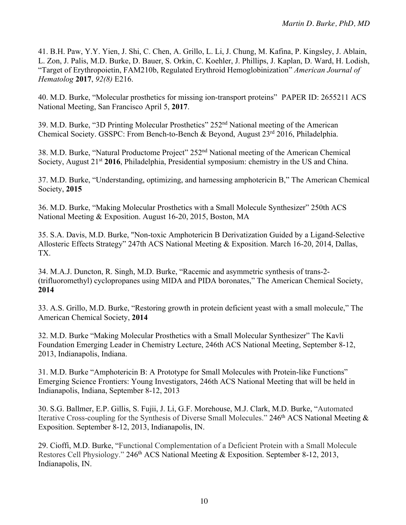41. B.H. Paw, Y.Y. Yien, J. Shi, C. Chen, A. Grillo, L. Li, J. Chung, M. Kafina, P. Kingsley, J. Ablain, L. Zon, J. Palis, M.D. Burke, D. Bauer, S. Orkin, C. Koehler, J. Phillips, J. Kaplan, D. Ward, H. Lodish, "Target of Erythropoietin, FAM210b, Regulated Erythroid Hemoglobinization" *American Journal of Hematolog* **2017**, *92(8)* E216.

40. M.D. Burke, "Molecular prosthetics for missing ion-transport proteins" PAPER ID: 2655211 ACS National Meeting, San Francisco April 5, **2017**.

39. M.D. Burke, "3D Printing Molecular Prosthetics" 252nd National meeting of the American Chemical Society. GSSPC: From Bench-to-Bench & Beyond, August 23<sup>rd</sup> 2016, Philadelphia.

38. M.D. Burke, "Natural Productome Project" 252nd National meeting of the American Chemical Society, August 21<sup>st</sup> 2016, Philadelphia, Presidential symposium: chemistry in the US and China.

37. M.D. Burke, "Understanding, optimizing, and harnessing amphotericin B," The American Chemical Society, **2015**

36. M.D. Burke, "Making Molecular Prosthetics with a Small Molecule Synthesizer" 250th ACS National Meeting & Exposition. August 16-20, 2015, Boston, MA

35. S.A. Davis, M.D. Burke, "Non-toxic Amphotericin B Derivatization Guided by a Ligand-Selective Allosteric Effects Strategy" 247th ACS National Meeting & Exposition. March 16-20, 2014, Dallas, TX.

34. M.A.J. Duncton, R. Singh, M.D. Burke, "Racemic and asymmetric synthesis of trans-2- (trifluoromethyl) cyclopropanes using MIDA and PIDA boronates," The American Chemical Society, **2014**

33. A.S. Grillo, M.D. Burke, "Restoring growth in protein deficient yeast with a small molecule," The American Chemical Society, **2014**

32. M.D. Burke "Making Molecular Prosthetics with a Small Molecular Synthesizer" The Kavli Foundation Emerging Leader in Chemistry Lecture, 246th ACS National Meeting, September 8-12, 2013, Indianapolis, Indiana.

31. M.D. Burke "Amphotericin B: A Prototype for Small Molecules with Protein-like Functions" Emerging Science Frontiers: Young Investigators, 246th ACS National Meeting that will be held in Indianapolis, Indiana, September 8-12, 2013

30. S.G. Ballmer, E.P. Gillis, S. Fujii, J. Li, G.F. Morehouse, M.J. Clark, M.D. Burke, "Automated Iterative Cross-coupling for the Synthesis of Diverse Small Molecules." 246<sup>th</sup> ACS National Meeting  $\&$ Exposition. September 8-12, 2013, Indianapolis, IN.

29. Cioffi, M.D. Burke, "Functional Complementation of a Deficient Protein with a Small Molecule Restores Cell Physiology." 246<sup>th</sup> ACS National Meeting & Exposition. September 8-12, 2013, Indianapolis, IN.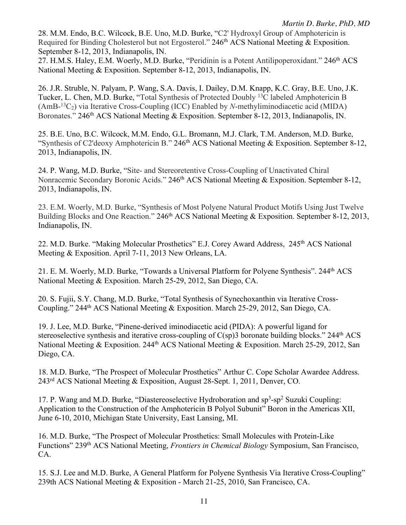28. M.M. Endo, B.C. Wilcock, B.E. Uno, M.D. Burke, "C2' Hydroxyl Group of Amphotericin is Required for Binding Cholesterol but not Ergosterol." 246<sup>th</sup> ACS National Meeting & Exposition. September 8-12, 2013, Indianapolis, IN.

27. H.M.S. Haley, E.M. Woerly, M.D. Burke, "Peridinin is a Potent Antilipoperoxidant." 246<sup>th</sup> ACS National Meeting & Exposition. September 8-12, 2013, Indianapolis, IN.

26. J.R. Struble, N. Palyam, P. Wang, S.A. Davis, I. Dailey, D.M. Knapp, K.C. Gray, B.E. Uno, J.K. Tucker, L. Chen, M.D. Burke, "Total Synthesis of Protected Doubly <sup>13</sup>C labeled Amphotericin B (AmB-13C2) via Iterative Cross-Coupling (ICC) Enabled by *N*-methyliminodiacetic acid (MIDA) Boronates." 246<sup>th</sup> ACS National Meeting & Exposition. September 8-12, 2013, Indianapolis, IN.

25. B.E. Uno, B.C. Wilcock, M.M. Endo, G.L. Bromann, M.J. Clark, T.M. Anderson, M.D. Burke, "Synthesis of C2'deoxy Amphotericin B." 246<sup>th</sup> ACS National Meeting & Exposition. September 8-12, 2013, Indianapolis, IN.

24. P. Wang, M.D. Burke, "Site- and Stereoretentive Cross-Coupling of Unactivated Chiral Nonracemic Secondary Boronic Acids." 246<sup>th</sup> ACS National Meeting & Exposition. September 8-12, 2013, Indianapolis, IN.

23. E.M. Woerly, M.D. Burke, "Synthesis of Most Polyene Natural Product Motifs Using Just Twelve Building Blocks and One Reaction." 246<sup>th</sup> ACS National Meeting & Exposition. September 8-12, 2013, Indianapolis, IN.

22. M.D. Burke. "Making Molecular Prosthetics" E.J. Corey Award Address, 245<sup>th</sup> ACS National Meeting & Exposition. April 7-11, 2013 New Orleans, LA.

21. E. M. Woerly, M.D. Burke, "Towards a Universal Platform for Polyene Synthesis". 244<sup>th</sup> ACS National Meeting & Exposition. March 25-29, 2012, San Diego, CA.

20. S. Fujii, S.Y. Chang, M.D. Burke, "Total Synthesis of Synechoxanthin via Iterative Cross-Coupling." 244<sup>th</sup> ACS National Meeting & Exposition. March 25-29, 2012, San Diego, CA.

19. J. Lee, M.D. Burke, "Pinene-derived iminodiacetic acid (PIDA): A powerful ligand for stereoselective synthesis and iterative cross-coupling of  $C(sp)3$  boronate building blocks." 244<sup>th</sup> ACS National Meeting & Exposition. 244<sup>th</sup> ACS National Meeting & Exposition. March 25-29, 2012, San Diego, CA.

18. M.D. Burke, "The Prospect of Molecular Prosthetics" Arthur C. Cope Scholar Awardee Address. 243rd ACS National Meeting & Exposition, August 28-Sept. 1, 2011, Denver, CO.

17. P. Wang and M.D. Burke, "Diastereoselective Hydroboration and sp<sup>3</sup>-sp<sup>2</sup> Suzuki Coupling: Application to the Construction of the Amphotericin B Polyol Subunit" Boron in the Americas XII, June 6-10, 2010, Michigan State University, East Lansing, MI.

16. M.D. Burke, "The Prospect of Molecular Prosthetics: Small Molecules with Protein-Like Functions" 239th ACS National Meeting, *Frontiers in Chemical Biology* Symposium, San Francisco, CA.

15. S.J. Lee and M.D. Burke, A General Platform for Polyene Synthesis Via Iterative Cross-Coupling" 239th ACS National Meeting & Exposition - March 21-25, 2010, San Francisco, CA.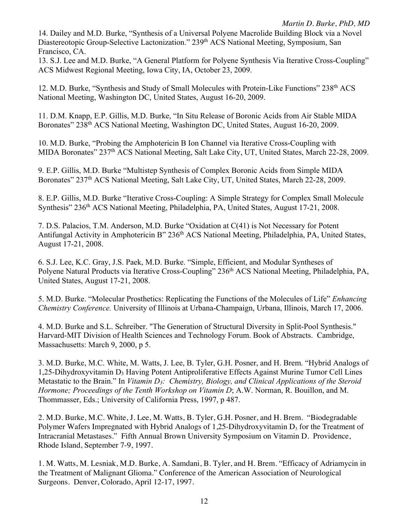14. Dailey and M.D. Burke, "Synthesis of a Universal Polyene Macrolide Building Block via a Novel Diastereotopic Group-Selective Lactonization." 239<sup>th</sup> ACS National Meeting, Symposium, San Francisco, CA.

13. S.J. Lee and M.D. Burke, "A General Platform for Polyene Synthesis Via Iterative Cross-Coupling" ACS Midwest Regional Meeting, Iowa City, IA, October 23, 2009.

12. M.D. Burke, "Synthesis and Study of Small Molecules with Protein-Like Functions" 238<sup>th</sup> ACS National Meeting, Washington DC, United States, August 16-20, 2009.

11. D.M. Knapp, E.P. Gillis, M.D. Burke, "In Situ Release of Boronic Acids from Air Stable MIDA Boronates" 238<sup>th</sup> ACS National Meeting, Washington DC, United States, August 16-20, 2009.

10. M.D. Burke, "Probing the Amphotericin B Ion Channel via Iterative Cross-Coupling with MIDA Boronates" 237<sup>th</sup> ACS National Meeting, Salt Lake City, UT, United States, March 22-28, 2009.

9. E.P. Gillis, M.D. Burke "Multistep Synthesis of Complex Boronic Acids from Simple MIDA Boronates" 237<sup>th</sup> ACS National Meeting, Salt Lake City, UT, United States, March 22-28, 2009.

8. E.P. Gillis, M.D. Burke "Iterative Cross-Coupling: A Simple Strategy for Complex Small Molecule Synthesis" 236<sup>th</sup> ACS National Meeting, Philadelphia, PA, United States, August 17-21, 2008.

7. D.S. Palacios, T.M. Anderson, M.D. Burke "Oxidation at C(41) is Not Necessary for Potent Antifungal Activity in Amphotericin B" 236<sup>th</sup> ACS National Meeting, Philadelphia, PA, United States, August 17-21, 2008.

6. S.J. Lee, K.C. Gray, J.S. Paek, M.D. Burke. "Simple, Efficient, and Modular Syntheses of Polyene Natural Products via Iterative Cross-Coupling" 236<sup>th</sup> ACS National Meeting, Philadelphia, PA, United States, August 17-21, 2008.

5. M.D. Burke. "Molecular Prosthetics: Replicating the Functions of the Molecules of Life" *Enhancing Chemistry Conference.* University of Illinois at Urbana-Champaign, Urbana, Illinois, March 17, 2006.

4. M.D. Burke and S.L. Schreiber. "The Generation of Structural Diversity in Split-Pool Synthesis." Harvard-MIT Division of Health Sciences and Technology Forum. Book of Abstracts. Cambridge, Massachusetts: March 9, 2000, p 5.

3. M.D. Burke, M.C. White, M. Watts, J. Lee, B. Tyler, G.H. Posner, and H. Brem. "Hybrid Analogs of 1,25-Dihydroxyvitamin D<sub>3</sub> Having Potent Antiproliferative Effects Against Murine Tumor Cell Lines Metastatic to the Brain." In *Vitamin D3: Chemistry, Biology, and Clinical Applications of the Steroid Hormone; Proceedings of the Tenth Workshop on Vitamin D*; A.W. Norman, R. Bouillon, and M. Thommasser, Eds.; University of California Press, 1997, p 487.

2. M.D. Burke, M.C. White, J. Lee, M. Watts, B. Tyler, G.H. Posner, and H. Brem. "Biodegradable Polymer Wafers Impregnated with Hybrid Analogs of 1,25-Dihydroxyvitamin  $D_3$  for the Treatment of Intracranial Metastases." Fifth Annual Brown University Symposium on Vitamin D. Providence, Rhode Island, September 7-9, 1997.

1. M. Watts, M. Lesniak, M.D. Burke, A. Samdani, B. Tyler, and H. Brem. "Efficacy of Adriamycin in the Treatment of Malignant Glioma." Conference of the American Association of Neurological Surgeons. Denver, Colorado, April 12-17, 1997.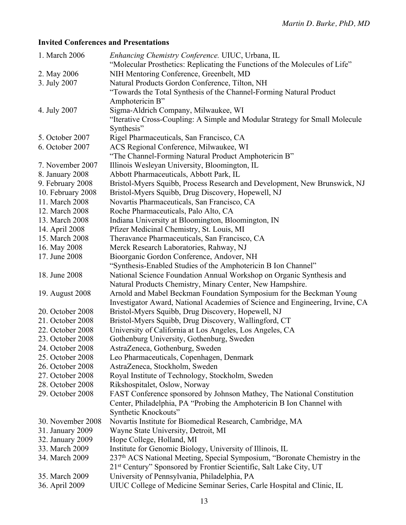# **Invited Conferences and Presentations**

| 1. March 2006     | Enhancing Chemistry Conference. UIUC, Urbana, IL                                      |
|-------------------|---------------------------------------------------------------------------------------|
|                   | "Molecular Prosthetics: Replicating the Functions of the Molecules of Life"           |
| 2. May 2006       | NIH Mentoring Conference, Greenbelt, MD                                               |
| 3. July 2007      | Natural Products Gordon Conference, Tilton, NH                                        |
|                   | "Towards the Total Synthesis of the Channel-Forming Natural Product                   |
|                   | Amphotericin B"                                                                       |
| 4. July 2007      | Sigma-Aldrich Company, Milwaukee, WI                                                  |
|                   | "Iterative Cross-Coupling: A Simple and Modular Strategy for Small Molecule           |
|                   | Synthesis"                                                                            |
| 5. October 2007   | Rigel Pharmaceuticals, San Francisco, CA                                              |
| 6. October 2007   | ACS Regional Conference, Milwaukee, WI                                                |
|                   | "The Channel-Forming Natural Product Amphotericin B"                                  |
| 7. November 2007  | Illinois Wesleyan University, Bloomington, IL                                         |
| 8. January 2008   | Abbott Pharmaceuticals, Abbott Park, IL                                               |
| 9. February 2008  | Bristol-Myers Squibb, Process Research and Development, New Brunswick, NJ             |
| 10. February 2008 | Bristol-Myers Squibb, Drug Discovery, Hopewell, NJ                                    |
| 11. March 2008    | Novartis Pharmaceuticals, San Francisco, CA                                           |
| 12. March 2008    | Roche Pharmaceuticals, Palo Alto, CA                                                  |
| 13. March 2008    | Indiana University at Bloomington, Bloomington, IN                                    |
| 14. April 2008    | Pfizer Medicinal Chemistry, St. Louis, MI                                             |
| 15. March 2008    | Theravance Pharmaceuticals, San Francisco, CA                                         |
| 16. May 2008      | Merck Research Laboratories, Rahway, NJ                                               |
| 17. June 2008     | Bioorganic Gordon Conference, Andover, NH                                             |
|                   | "Synthesis-Enabled Studies of the Amphotericin B Ion Channel"                         |
| 18. June 2008     | National Science Foundation Annual Workshop on Organic Synthesis and                  |
|                   | Natural Products Chemistry, Minary Center, New Hampshire.                             |
| 19. August 2008   | Arnold and Mabel Beckman Foundation Symposium for the Beckman Young                   |
|                   | Investigator Award, National Academies of Science and Engineering, Irvine, CA         |
| 20. October 2008  | Bristol-Myers Squibb, Drug Discovery, Hopewell, NJ                                    |
| 21. October 2008  | Bristol-Myers Squibb, Drug Discovery, Wallingford, CT                                 |
| 22. October 2008  | University of California at Los Angeles, Los Angeles, CA                              |
| 23. October 2008  | Gothenburg University, Gothenburg, Sweden                                             |
| 24. October 2008  | AstraZeneca, Gothenburg, Sweden                                                       |
| 25. October 2008  | Leo Pharmaceuticals, Copenhagen, Denmark                                              |
| 26. October 2008  | AstraZeneca, Stockholm, Sweden                                                        |
| 27. October 2008  | Royal Institute of Technology, Stockholm, Sweden                                      |
| 28. October 2008  | Rikshospitalet, Oslow, Norway                                                         |
| 29. October 2008  |                                                                                       |
|                   | FAST Conference sponsored by Johnson Mathey, The National Constitution                |
|                   | Center, Philadelphia, PA "Probing the Amphotericin B Ion Channel with                 |
|                   | Synthetic Knockouts"                                                                  |
| 30. November 2008 | Novartis Institute for Biomedical Research, Cambridge, MA                             |
| 31. January 2009  | Wayne State University, Detroit, MI                                                   |
| 32. January 2009  | Hope College, Holland, MI                                                             |
| 33. March 2009    | Institute for Genomic Biology, University of Illinois, IL                             |
| 34. March 2009    | 237 <sup>th</sup> ACS National Meeting, Special Symposium, "Boronate Chemistry in the |
|                   | 21 <sup>st</sup> Century" Sponsored by Frontier Scientific, Salt Lake City, UT        |
| 35. March 2009    | University of Pennsylvania, Philadelphia, PA                                          |
| 36. April 2009    | UIUC College of Medicine Seminar Series, Carle Hospital and Clinic, IL                |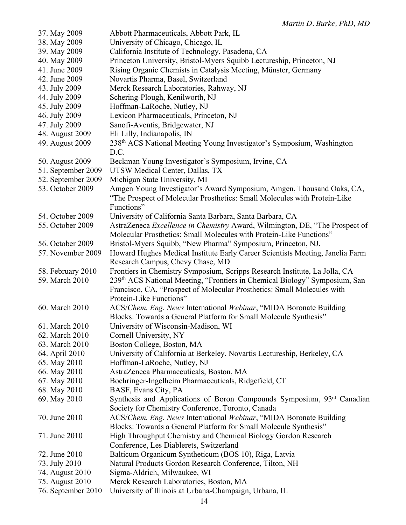| 37. May 2009       | Abbott Pharmaceuticals, Abbott Park, IL                                       |
|--------------------|-------------------------------------------------------------------------------|
| 38. May 2009       | University of Chicago, Chicago, IL                                            |
| 39. May 2009       | California Institute of Technology, Pasadena, CA                              |
| 40. May 2009       | Princeton University, Bristol-Myers Squibb Lectureship, Princeton, NJ         |
| 41. June 2009      | Rising Organic Chemists in Catalysis Meeting, Münster, Germany                |
| 42. June 2009      | Novartis Pharma, Basel, Switzerland                                           |
| 43. July 2009      | Merck Research Laboratories, Rahway, NJ                                       |
| 44. July 2009      | Schering-Plough, Kenilworth, NJ                                               |
| 45. July 2009      | Hoffman-LaRoche, Nutley, NJ                                                   |
| 46. July 2009      | Lexicon Pharmaceuticals, Princeton, NJ                                        |
| 47. July 2009      | Sanofi-Aventis, Bridgewater, NJ                                               |
| 48. August 2009    | Eli Lilly, Indianapolis, IN                                                   |
| 49. August 2009    | 238th ACS National Meeting Young Investigator's Symposium, Washington         |
|                    | D.C.                                                                          |
| 50. August 2009    | Beckman Young Investigator's Symposium, Irvine, CA                            |
| 51. September 2009 | UTSW Medical Center, Dallas, TX                                               |
| 52. September 2009 | Michigan State University, MI                                                 |
| 53. October 2009   | Amgen Young Investigator's Award Symposium, Amgen, Thousand Oaks, CA,         |
|                    | "The Prospect of Molecular Prosthetics: Small Molecules with Protein-Like     |
|                    | Functions"                                                                    |
| 54. October 2009   | University of California Santa Barbara, Santa Barbara, CA                     |
| 55. October 2009   | AstraZeneca Excellence in Chemistry Award, Wilmington, DE, "The Prospect of   |
|                    | Molecular Prosthetics: Small Molecules with Protein-Like Functions"           |
| 56. October 2009   |                                                                               |
|                    | Bristol-Myers Squibb, "New Pharma" Symposium, Princeton, NJ.                  |
| 57. November 2009  | Howard Hughes Medical Institute Early Career Scientists Meeting, Janelia Farm |
|                    | Research Campus, Chevy Chase, MD                                              |
| 58. February 2010  | Frontiers in Chemistry Symposium, Scripps Research Institute, La Jolla, CA    |
| 59. March 2010     | 239th ACS National Meeting, "Frontiers in Chemical Biology" Symposium, San    |
|                    | Francisco, CA, "Prospect of Molecular Prosthetics: Small Molecules with       |
|                    | Protein-Like Functions"                                                       |
| 60. March 2010     | ACS/Chem. Eng. News International Webinar, "MIDA Boronate Building            |
|                    | Blocks: Towards a General Platform for Small Molecule Synthesis"              |
| 61. March 2010     | University of Wisconsin-Madison, WI                                           |
| 62. March 2010     | Cornell University, NY                                                        |
| 63. March 2010     | Boston College, Boston, MA                                                    |
| 64. April 2010     | University of California at Berkeley, Novartis Lectureship, Berkeley, CA      |
| 65. May 2010       | Hoffman-LaRoche, Nutley, NJ                                                   |
| 66. May 2010       | AstraZeneca Pharmaceuticals, Boston, MA                                       |
| 67. May 2010       | Boehringer-Ingelheim Pharmaceuticals, Ridgefield, CT                          |
| 68. May 2010       | BASF, Evans City, PA                                                          |
| 69. May 2010       | Synthesis and Applications of Boron Compounds Symposium, 93rd Canadian        |
|                    | Society for Chemistry Conference, Toronto, Canada                             |
| 70. June 2010      | ACS/Chem. Eng. News International Webinar, "MIDA Boronate Building            |
|                    | Blocks: Towards a General Platform for Small Molecule Synthesis"              |
| 71. June 2010      | High Throughput Chemistry and Chemical Biology Gordon Research                |
|                    | Conference, Les Diablerets, Switzerland                                       |
| 72. June 2010      | Balticum Organicum Syntheticum (BOS 10), Riga, Latvia                         |
| 73. July 2010      | Natural Products Gordon Research Conference, Tilton, NH                       |
| 74. August 2010    | Sigma-Aldrich, Milwaukee, WI                                                  |
| 75. August 2010    | Merck Research Laboratories, Boston, MA                                       |
| 76. September 2010 | University of Illinois at Urbana-Champaign, Urbana, IL                        |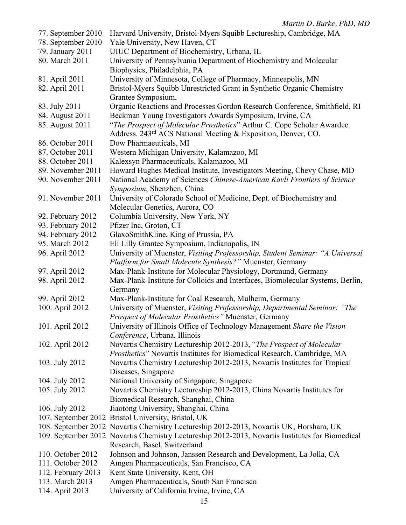|                    | $m$ and $D$ . $Dm$ $N$ , $ID$ , $m$                                                                                                        |
|--------------------|--------------------------------------------------------------------------------------------------------------------------------------------|
| 77. September 2010 | Harvard University, Bristol-Myers Squibb Lectureship, Cambridge, MA                                                                        |
| 78. September 2010 | Yale University, New Haven, CT                                                                                                             |
| 79. January 2011   | UIUC Department of Biochemistry, Urbana, IL                                                                                                |
| 80. March 2011     | University of Pennsylvania Department of Biochemistry and Molecular                                                                        |
|                    | Biophysics, Philadelphia, PA                                                                                                               |
| 81. April 2011     | University of Minnesota, College of Pharmacy, Minneapolis, MN                                                                              |
| 82. April 2011     | Bristol-Myers Squibb Unrestricted Grant in Synthetic Organic Chemistry                                                                     |
|                    | Grantee Symposium,                                                                                                                         |
| 83. July 2011      | Organic Reactions and Processes Gordon Research Conference, Smithfield, RI                                                                 |
| 84. August 2011    | Beckman Young Investigators Awards Symposium, Irvine, CA                                                                                   |
| 85. August 2011    | "The Prospect of Molecular Prosthetics" Arthur C. Cope Scholar Awardee                                                                     |
|                    | Address. 243 <sup>rd</sup> ACS National Meeting & Exposition, Denver, CO.                                                                  |
| 86. October 2011   | Dow Pharmaeuticals, MI                                                                                                                     |
| 87. October 2011   | Western Michigan University, Kalamazoo, MI                                                                                                 |
| 88. October 2011   | Kalexsyn Pharmaceuticals, Kalamazoo, MI                                                                                                    |
| 89. November 2011  | Howard Hughes Medical Institute, Investigators Meeting, Chevy Chase, MD                                                                    |
| 90. November 2011  | National Academy of Sciences Chinese-American Kavli Frontiers of Science                                                                   |
|                    | Symposium, Shenzhen, China                                                                                                                 |
| 91. November 2011  | University of Colorado School of Medicine, Dept. of Biochemistry and                                                                       |
|                    | Molecular Genetics, Aurora, CO                                                                                                             |
| 92. February 2012  | Columbia University, New York, NY                                                                                                          |
| 93. February 2012  | Pfizer Inc, Groton, CT                                                                                                                     |
| 94. February 2012  | GlaxoSmithKline, King of Prussia, PA                                                                                                       |
| 95. March 2012     | Eli Lilly Grantee Symposium, Indianapolis, IN                                                                                              |
| 96. April 2012     | University of Muenster, Visiting Professorship, Student Seminar: "A Universal<br>Platform for Small Molecule Synthesis?" Muenster, Germany |
| 97. April 2012     | Max-Plank-Institute for Molecular Physiology, Dortmund, Germany                                                                            |
| 98. April 2012     | Max-Plank-Institute for Colloids and Interfaces, Biomolecular Systems, Berlin,                                                             |
|                    | Germany                                                                                                                                    |
| 99. April 2012     | Max-Plank-Institute for Coal Research, Mulheim, Germany                                                                                    |
| 100. April 2012    | University of Muenster, Visiting Professorship, Departmental Seminar: "The                                                                 |
|                    | <b>Prospect of Molecular Prosthetics</b> " Muenster, Germany                                                                               |
| 101. April 2012    | University of Illinois Office of Technology Management Share the Vision                                                                    |
|                    | Conference, Urbana, Illinois                                                                                                               |
| 102. April 2012    | Novartis Chemistry Lectureship 2012-2013, "The Prospect of Molecular                                                                       |
|                    | Prosthetics" Novartis Institutes for Biomedical Research, Cambridge, MA                                                                    |
| 103. July 2012     | Novartis Chemistry Lectureship 2012-2013, Novartis Institutes for Tropical                                                                 |
|                    | Diseases, Singapore                                                                                                                        |
| 104. July 2012     | National University of Singapore, Singapore                                                                                                |
| 105. July 2012     | Novartis Chemistry Lectureship 2012-2013, China Novartis Institutes for                                                                    |
|                    | Biomedical Research, Shanghai, China                                                                                                       |
| 106. July 2012     | Jiaotong University, Shanghai, China                                                                                                       |
|                    | 107. September 2012 Bristol University, Bristol, UK                                                                                        |
|                    | 108. September 2012 Novartis Chemistry Lectureship 2012-2013, Novartis UK, Horsham, UK                                                     |
|                    | 109. September 2012 Novartis Chemistry Lectureship 2012-2013, Novartis Institutes for Biomedical                                           |
|                    | Research, Basel, Switzerland                                                                                                               |
| 110. October 2012  | Johnson and Johnson, Janssen Research and Development, La Jolla, CA                                                                        |
| 111. October 2012  | Amgen Pharmaceuticals, San Francisco, CA                                                                                                   |
| 112. February 2013 | Kent State University, Kent, OH                                                                                                            |
| 113. March 2013    | Amgen Pharmaceuticals, South San Francisco                                                                                                 |
| 114. April 2013    | University of California Irvine, Irvine, CA                                                                                                |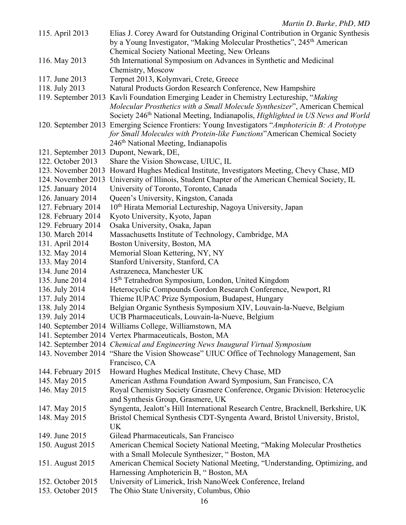| 115. April 2013     | Elias J. Corey Award for Outstanding Original Contribution in Organic Synthesis<br>by a Young Investigator, "Making Molecular Prosthetics", 245 <sup>th</sup> American                                                                                                                                                                                                                                          |
|---------------------|-----------------------------------------------------------------------------------------------------------------------------------------------------------------------------------------------------------------------------------------------------------------------------------------------------------------------------------------------------------------------------------------------------------------|
|                     | Chemical Society National Meeting, New Orleans                                                                                                                                                                                                                                                                                                                                                                  |
| 116. May 2013       | 5th International Symposium on Advances in Synthetic and Medicinal                                                                                                                                                                                                                                                                                                                                              |
|                     | Chemistry, Moscow                                                                                                                                                                                                                                                                                                                                                                                               |
| 117. June 2013      | Terpnet 2013, Kolymvari, Crete, Greece                                                                                                                                                                                                                                                                                                                                                                          |
| 118. July 2013      | Natural Products Gordon Research Conference, New Hampshire                                                                                                                                                                                                                                                                                                                                                      |
|                     | 119. September 2013 Kavli Foundation Emerging Leader in Chemistry Lectureship, "Making"                                                                                                                                                                                                                                                                                                                         |
|                     | Molecular Prosthetics with a Small Molecule Synthesizer", American Chemical<br>Society 246 <sup>th</sup> National Meeting, Indianapolis, Highlighted in US News and World<br>120. September 2013 Emerging Science Frontiers: Young Investigators "Amphotericin B: A Prototype<br>for Small Molecules with Protein-like Functions" American Chemical Society<br>246 <sup>th</sup> National Meeting, Indianapolis |
| 121. September 2013 | Dupont, Newark, DE,                                                                                                                                                                                                                                                                                                                                                                                             |
| 122. October 2013   | Share the Vision Showcase, UIUC, IL                                                                                                                                                                                                                                                                                                                                                                             |
| 123. November 2013  | Howard Hughes Medical Institute, Investigators Meeting, Chevy Chase, MD                                                                                                                                                                                                                                                                                                                                         |
| 124. November 2013  | University of Illinois, Student Chapter of the American Chemical Society, IL                                                                                                                                                                                                                                                                                                                                    |
| 125. January 2014   | University of Toronto, Toronto, Canada                                                                                                                                                                                                                                                                                                                                                                          |
| 126. January 2014   | Queen's University, Kingston, Canada                                                                                                                                                                                                                                                                                                                                                                            |
| 127. February 2014  | 10 <sup>th</sup> Hirata Memorial Lectureship, Nagoya University, Japan                                                                                                                                                                                                                                                                                                                                          |
| 128. February 2014  | Kyoto University, Kyoto, Japan                                                                                                                                                                                                                                                                                                                                                                                  |
| 129. February 2014  | Osaka University, Osaka, Japan                                                                                                                                                                                                                                                                                                                                                                                  |
| 130. March 2014     | Massachusetts Institute of Technology, Cambridge, MA                                                                                                                                                                                                                                                                                                                                                            |
| 131. April 2014     | Boston University, Boston, MA                                                                                                                                                                                                                                                                                                                                                                                   |
| 132. May 2014       | Memorial Sloan Kettering, NY, NY                                                                                                                                                                                                                                                                                                                                                                                |
| 133. May 2014       | Stanford University, Stanford, CA                                                                                                                                                                                                                                                                                                                                                                               |
| 134. June 2014      | Astrazeneca, Manchester UK                                                                                                                                                                                                                                                                                                                                                                                      |
| 135. June 2014      | 15 <sup>th</sup> Tetrahedron Symposium, London, United Kingdom                                                                                                                                                                                                                                                                                                                                                  |
| 136. July 2014      | Heterocyclic Compounds Gordon Research Conference, Newport, RI                                                                                                                                                                                                                                                                                                                                                  |
| 137. July 2014      | Thieme IUPAC Prize Symposium, Budapest, Hungary                                                                                                                                                                                                                                                                                                                                                                 |
| 138. July 2014      | Belgian Organic Synthesis Symposium XIV, Louvain-la-Nueve, Belgium                                                                                                                                                                                                                                                                                                                                              |
| 139. July 2014      | UCB Pharmaceuticals, Louvain-la-Nueve, Belgium                                                                                                                                                                                                                                                                                                                                                                  |
|                     | 140. September 2014 Williams College, Williamstown, MA                                                                                                                                                                                                                                                                                                                                                          |
|                     | 141. September 2014 Vertex Pharmaceuticals, Boston, MA                                                                                                                                                                                                                                                                                                                                                          |
|                     | 142. September 2014 Chemical and Engineering News Inaugural Virtual Symposium                                                                                                                                                                                                                                                                                                                                   |
|                     | 143. November 2014 "Share the Vision Showcase" UIUC Office of Technology Management, San                                                                                                                                                                                                                                                                                                                        |
|                     | Francisco, CA                                                                                                                                                                                                                                                                                                                                                                                                   |
| 144. February 2015  | Howard Hughes Medical Institute, Chevy Chase, MD                                                                                                                                                                                                                                                                                                                                                                |
| 145. May 2015       | American Asthma Foundation Award Symposium, San Francisco, CA                                                                                                                                                                                                                                                                                                                                                   |
| 146. May 2015       | Royal Chemistry Society Grasmere Conference, Organic Division: Heterocyclic                                                                                                                                                                                                                                                                                                                                     |
|                     | and Synthesis Group, Grasmere, UK                                                                                                                                                                                                                                                                                                                                                                               |
| 147. May 2015       | Syngenta, Jealott's Hill International Research Centre, Bracknell, Berkshire, UK                                                                                                                                                                                                                                                                                                                                |
| 148. May 2015       | Bristol Chemical Synthesis CDT-Syngenta Award, Bristol University, Bristol,                                                                                                                                                                                                                                                                                                                                     |
|                     | UK                                                                                                                                                                                                                                                                                                                                                                                                              |
| 149. June 2015      | Gilead Pharmaceuticals, San Francisco                                                                                                                                                                                                                                                                                                                                                                           |
| 150. August 2015    | American Chemical Society National Meeting, "Making Molecular Prosthetics<br>with a Small Molecule Synthesizer, "Boston, MA                                                                                                                                                                                                                                                                                     |
| 151. August 2015    | American Chemical Society National Meeting, "Understanding, Optimizing, and                                                                                                                                                                                                                                                                                                                                     |
|                     | Harnessing Amphotericin B, "Boston, MA                                                                                                                                                                                                                                                                                                                                                                          |
| 152. October 2015   | University of Limerick, Irish NanoWeek Conference, Ireland                                                                                                                                                                                                                                                                                                                                                      |
| 153. October 2015   | The Ohio State University, Columbus, Ohio                                                                                                                                                                                                                                                                                                                                                                       |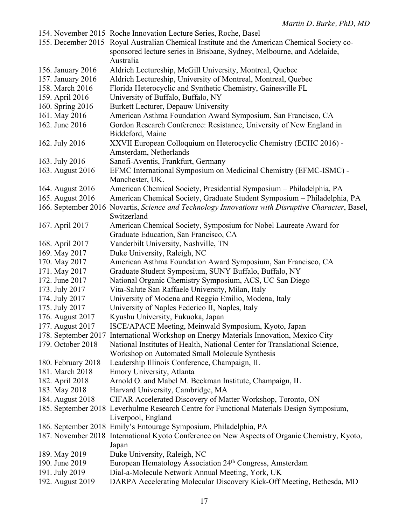|                     | 154. November 2015 Roche Innovation Lecture Series, Roche, Basel                                       |
|---------------------|--------------------------------------------------------------------------------------------------------|
|                     | 155. December 2015 Royal Australian Chemical Institute and the American Chemical Society co-           |
|                     | sponsored lecture series in Brisbane, Sydney, Melbourne, and Adelaide,                                 |
|                     | Australia                                                                                              |
| 156. January 2016   | Aldrich Lectureship, McGill University, Montreal, Quebec                                               |
| 157. January 2016   | Aldrich Lectureship, University of Montreal, Montreal, Quebec                                          |
| 158. March 2016     | Florida Heterocyclic and Synthetic Chemistry, Gainesville FL                                           |
| 159. April 2016     | University of Buffalo, Buffalo, NY                                                                     |
|                     |                                                                                                        |
| 160. Spring 2016    | Burkett Lecturer, Depauw University                                                                    |
| 161. May 2016       | American Asthma Foundation Award Symposium, San Francisco, CA                                          |
| 162. June 2016      | Gordon Research Conference: Resistance, University of New England in                                   |
|                     | Biddeford, Maine                                                                                       |
| 162. July 2016      | XXVII European Colloquium on Heterocyclic Chemistry (ECHC 2016) -                                      |
|                     | Amsterdam, Netherlands                                                                                 |
| 163. July 2016      | Sanofi-Aventis, Frankfurt, Germany                                                                     |
| 163. August 2016    | EFMC International Symposium on Medicinal Chemistry (EFMC-ISMC) -                                      |
|                     | Manchester, UK.                                                                                        |
| 164. August 2016    | American Chemical Society, Presidential Symposium - Philadelphia, PA                                   |
| 165. August 2016    | American Chemical Society, Graduate Student Symposium - Philadelphia, PA                               |
|                     | 166. September 2016 Novartis, Science and Technology Innovations with Disruptive Character, Basel,     |
|                     | Switzerland                                                                                            |
| 167. April 2017     | American Chemical Society, Symposium for Nobel Laureate Award for                                      |
|                     | Graduate Education, San Francisco, CA                                                                  |
| 168. April 2017     | Vanderbilt University, Nashville, TN                                                                   |
| 169. May 2017       | Duke University, Raleigh, NC                                                                           |
| 170. May 2017       | American Asthma Foundation Award Symposium, San Francisco, CA                                          |
| 171. May 2017       | Graduate Student Symposium, SUNY Buffalo, Buffalo, NY                                                  |
| 172. June 2017      |                                                                                                        |
|                     | National Organic Chemistry Symposium, ACS, UC San Diego                                                |
| 173. July 2017      | Vita-Salute San Raffaele University, Milan, Italy                                                      |
| 174. July 2017      | University of Modena and Reggio Emilio, Modena, Italy                                                  |
| 175. July 2017      | University of Naples Federico II, Naples, Italy                                                        |
| 176. August 2017    | Kyushu University, Fukuoka, Japan                                                                      |
| 177. August 2017    | ISCE/APACE Meeting, Meinwald Symposium, Kyoto, Japan                                                   |
| 178. September 2017 | International Workshop on Energy Materials Innovation, Mexico City                                     |
| 179. October 2018   | National Institutes of Health, National Center for Translational Science,                              |
|                     | Workshop on Automated Small Molecule Synthesis                                                         |
| 180. February 2018  | Leadership Illinois Conference, Champaign, IL                                                          |
| 181. March 2018     | Emory University, Atlanta                                                                              |
| 182. April 2018     | Arnold O. and Mabel M. Beckman Institute, Champaign, IL                                                |
| 183. May 2018       | Harvard University, Cambridge, MA                                                                      |
| 184. August 2018    | CIFAR Accelerated Discovery of Matter Workshop, Toronto, ON                                            |
|                     | 185. September 2018 Leverhulme Research Centre for Functional Materials Design Symposium,              |
|                     | Liverpool, England                                                                                     |
|                     | 186. September 2018 Emily's Entourage Symposium, Philadelphia, PA                                      |
|                     |                                                                                                        |
|                     | 187. November 2018 International Kyoto Conference on New Aspects of Organic Chemistry, Kyoto,<br>Japan |
| 189. May 2019       | Duke University, Raleigh, NC                                                                           |
| 190. June 2019      | European Hematology Association 24 <sup>th</sup> Congress, Amsterdam                                   |
| 191. July 2019      | Dial-a-Molecule Network Annual Meeting, York, UK                                                       |
| 192. August 2019    | DARPA Accelerating Molecular Discovery Kick-Off Meeting, Bethesda, MD                                  |
|                     |                                                                                                        |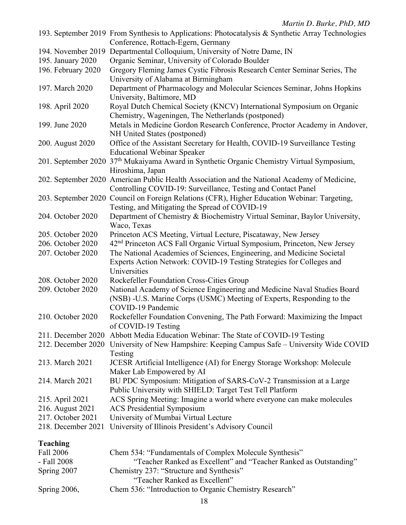| <b>Teaching</b>                        |                                                                                                                                                                |
|----------------------------------------|----------------------------------------------------------------------------------------------------------------------------------------------------------------|
| 218. December 2021                     | University of Illinois President's Advisory Council                                                                                                            |
| 216. August 2021<br>217. October 2021  | <b>ACS</b> Presidential Symposium<br>University of Mumbai Virtual Lecture                                                                                      |
| 215. April 2021                        | ACS Spring Meeting: Imagine a world where everyone can make molecules                                                                                          |
|                                        | Public University with SHIELD: Target Test Tell Platform                                                                                                       |
| 214. March 2021                        | BU PDC Symposium: Mitigation of SARS-CoV-2 Transmission at a Large                                                                                             |
| 213. March 2021                        | JCESR Artificial Intelligence (AI) for Energy Storage Workshop: Molecule<br>Maker Lab Empowered by AI                                                          |
|                                        | 212. December 2020 University of New Hampshire: Keeping Campus Safe – University Wide COVID<br>Testing                                                         |
|                                        | 211. December 2020 Abbott Media Education Webinar: The State of COVID-19 Testing                                                                               |
| 210. October 2020                      | COVID-19 Pandemic<br>Rockefeller Foundation Convening, The Path Forward: Maximizing the Impact<br>of COVID-19 Testing                                          |
| 209. October 2020                      | National Academy of Science Engineering and Medicine Naval Studies Board<br>(NSB) -U.S. Marine Corps (USMC) Meeting of Experts, Responding to the              |
| 208. October 2020                      | Universities<br>Rockefeller Foundation Cross-Cities Group                                                                                                      |
|                                        | Experts Action Network: COVID-19 Testing Strategies for Colleges and                                                                                           |
| 206. October 2020<br>207. October 2020 | 42 <sup>nd</sup> Princeton ACS Fall Organic Virtual Symposium, Princeton, New Jersey<br>The National Academies of Sciences, Engineering, and Medicine Societal |
| 205. October 2020                      | Princeton ACS Meeting, Virtual Lecture, Piscataway, New Jersey                                                                                                 |
|                                        | Waco, Texas                                                                                                                                                    |
| 204. October 2020                      | Department of Chemistry & Biochemistry Virtual Seminar, Baylor University,                                                                                     |
|                                        | 203. September 2020 Council on Foreign Relations (CFR), Higher Education Webinar: Targeting,<br>Testing, and Mitigating the Spread of COVID-19                 |
|                                        | Controlling COVID-19: Surveillance, Testing and Contact Panel                                                                                                  |
|                                        | Hiroshima, Japan<br>202. September 2020 American Public Health Association and the National Academy of Medicine,                                               |
|                                        | 201. September 2020 37 <sup>th</sup> Mukaiyama Award in Synthetic Organic Chemistry Virtual Symposium,                                                         |
| 200. August 2020                       | Office of the Assistant Secretary for Health, COVID-19 Surveillance Testing<br><b>Educational Webinar Speaker</b>                                              |
| 199. June 2020                         | Metals in Medicine Gordon Research Conference, Proctor Academy in Andover,<br>NH United States (postponed)                                                     |
|                                        | Royal Dutch Chemical Society (KNCV) International Symposium on Organic<br>Chemistry, Wageningen, The Netherlands (postponed)                                   |
| 198. April 2020                        | University, Baltimore, MD                                                                                                                                      |
| 197. March 2020                        | University of Alabama at Birmingham<br>Department of Pharmacology and Molecular Sciences Seminar, Johns Hopkins                                                |
| 196. February 2020                     | Gregory Fleming James Cystic Fibrosis Research Center Seminar Series, The                                                                                      |
| 195. January 2020                      | 194. November 2019 Departmental Colloquium, University of Notre Dame, IN<br>Organic Seminar, University of Colorado Boulder                                    |
|                                        | Conference, Rottach-Egern, Germany                                                                                                                             |
|                                        | 193. September 2019 From Synthesis to Applications: Photocatalysis & Synthetic Array Technologies                                                              |

| Chem 534: "Fundamentals of Complex Molecule Synthesis"            |
|-------------------------------------------------------------------|
| "Teacher Ranked as Excellent" and "Teacher Ranked as Outstanding" |
| Chemistry 237: "Structure and Synthesis"                          |
| "Teacher Ranked as Excellent"                                     |
| Chem 536: "Introduction to Organic Chemistry Research"            |
|                                                                   |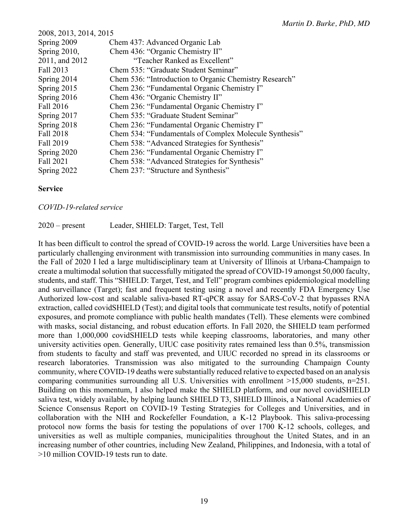| 2008, 2013, 2014, 2015 |                                                        |  |
|------------------------|--------------------------------------------------------|--|
| Spring 2009            | Chem 437: Advanced Organic Lab                         |  |
| Spring 2010,           | Chem 436: "Organic Chemistry II"                       |  |
| 2011, and 2012         | "Teacher Ranked as Excellent"                          |  |
| Fall 2013              | Chem 535: "Graduate Student Seminar"                   |  |
| Spring 2014            | Chem 536: "Introduction to Organic Chemistry Research" |  |
| Spring 2015            | Chem 236: "Fundamental Organic Chemistry I"            |  |
| Spring 2016            | Chem 436: "Organic Chemistry II"                       |  |
| Fall 2016              | Chem 236: "Fundamental Organic Chemistry I"            |  |
| Spring 2017            | Chem 535: "Graduate Student Seminar"                   |  |
| Spring 2018            | Chem 236: "Fundamental Organic Chemistry I"            |  |
| Fall 2018              | Chem 534: "Fundamentals of Complex Molecule Synthesis" |  |
| Fall 2019              | Chem 538: "Advanced Strategies for Synthesis"          |  |
| Spring 2020            | Chem 236: "Fundamental Organic Chemistry I"            |  |
| Fall 2021              | Chem 538: "Advanced Strategies for Synthesis"          |  |
| Spring 2022            | Chem 237: "Structure and Synthesis"                    |  |

#### **Service**

#### *COVID-19-related service*

2020 – present Leader, SHIELD: Target, Test, Tell

It has been difficult to control the spread of COVID-19 across the world. Large Universities have been a particularly challenging environment with transmission into surrounding communities in many cases. In the Fall of 2020 I led a large multidisciplinary team at University of Illinois at Urbana-Champaign to create a multimodal solution that successfully mitigated the spread of COVID-19 amongst 50,000 faculty, students, and staff. This "SHIELD: Target, Test, and Tell" program combines epidemiological modelling and surveillance (Target); fast and frequent testing using a novel and recently FDA Emergency Use Authorized low-cost and scalable saliva-based RT-qPCR assay for SARS-CoV-2 that bypasses RNA extraction, called covidSHIELD (Test); and digital tools that communicate test results, notify of potential exposures, and promote compliance with public health mandates (Tell). These elements were combined with masks, social distancing, and robust education efforts. In Fall 2020, the SHIELD team performed more than 1,000,000 covidSHIELD tests while keeping classrooms, laboratories, and many other university activities open. Generally, UIUC case positivity rates remained less than 0.5%, transmission from students to faculty and staff was prevented, and UIUC recorded no spread in its classrooms or research laboratories. Transmission was also mitigated to the surrounding Champaign County community, where COVID-19 deaths were substantially reduced relative to expected based on an analysis comparing communities surrounding all U.S. Universities with enrollment >15,000 students, n=251. Building on this momentum, I also helped make the SHIELD platform, and our novel covidSHIELD saliva test, widely available, by helping launch SHIELD T3, SHIELD Illinois, a National Academies of Science Consensus Report on COVID-19 Testing Strategies for Colleges and Universities, and in collaboration with the NIH and Rockefeller Foundation, a K-12 Playbook. This saliva-processing protocol now forms the basis for testing the populations of over 1700 K-12 schools, colleges, and universities as well as multiple companies, municipalities throughout the United States, and in an increasing number of other countries, including New Zealand, Philippines, and Indonesia, with a total of >10 million COVID-19 tests run to date.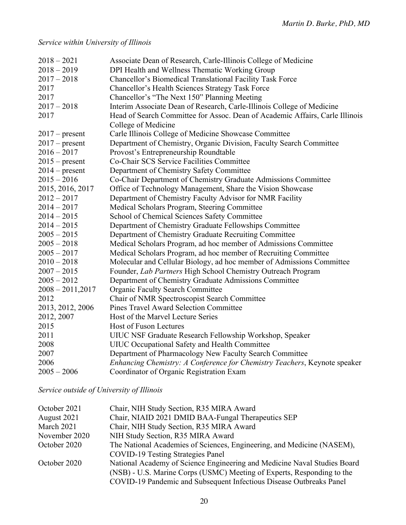# *Service within University of Illinois*

| $2018 - 2021$      | Associate Dean of Research, Carle-Illinois College of Medicine               |
|--------------------|------------------------------------------------------------------------------|
| $2018 - 2019$      | DPI Health and Wellness Thematic Working Group                               |
| $2017 - 2018$      | Chancellor's Biomedical Translational Facility Task Force                    |
| 2017               | Chancellor's Health Sciences Strategy Task Force                             |
| 2017               | Chancellor's "The Next 150" Planning Meeting                                 |
| $2017 - 2018$      | Interim Associate Dean of Research, Carle-Illinois College of Medicine       |
| 2017               | Head of Search Committee for Assoc. Dean of Academic Affairs, Carle Illinois |
|                    | College of Medicine                                                          |
| $2017$ – present   | Carle Illinois College of Medicine Showcase Committee                        |
| $2017$ – present   | Department of Chemistry, Organic Division, Faculty Search Committee          |
| $2016 - 2017$      | Provost's Entrepreneurship Roundtable                                        |
| $2015$ – present   | Co-Chair SCS Service Facilities Committee                                    |
| $2014$ – present   | Department of Chemistry Safety Committee                                     |
| $2015 - 2016$      | Co-Chair Department of Chemistry Graduate Admissions Committee               |
| 2015, 2016, 2017   | Office of Technology Management, Share the Vision Showcase                   |
| $2012 - 2017$      | Department of Chemistry Faculty Advisor for NMR Facility                     |
| $2014 - 2017$      | Medical Scholars Program, Steering Committee                                 |
| $2014 - 2015$      | School of Chemical Sciences Safety Committee                                 |
| $2014 - 2015$      | Department of Chemistry Graduate Fellowships Committee                       |
| $2005 - 2015$      | Department of Chemistry Graduate Recruiting Committee                        |
| $2005 - 2018$      | Medical Scholars Program, ad hoc member of Admissions Committee              |
| $2005 - 2017$      | Medical Scholars Program, ad hoc member of Recruiting Committee              |
| $2010 - 2018$      | Molecular and Cellular Biology, ad hoc member of Admissions Committee        |
| $2007 - 2015$      | Founder, Lab Partners High School Chemistry Outreach Program                 |
| $2005 - 2012$      | Department of Chemistry Graduate Admissions Committee                        |
| $2008 - 2011,2017$ | <b>Organic Faculty Search Committee</b>                                      |
| 2012               | Chair of NMR Spectroscopist Search Committee                                 |
| 2013, 2012, 2006   | <b>Pines Travel Award Selection Committee</b>                                |
| 2012, 2007         | Host of the Marvel Lecture Series                                            |
| 2015               | <b>Host of Fuson Lectures</b>                                                |
| 2011               | UIUC NSF Graduate Research Fellowship Workshop, Speaker                      |
| 2008               | UIUC Occupational Safety and Health Committee                                |
| 2007               | Department of Pharmacology New Faculty Search Committee                      |
| 2006               | Enhancing Chemistry: A Conference for Chemistry Teachers, Keynote speaker    |
| $2005 - 2006$      | Coordinator of Organic Registration Exam                                     |

*Service outside of University of Illinois*

| October 2021  | Chair, NIH Study Section, R35 MIRA Award                                 |
|---------------|--------------------------------------------------------------------------|
| August 2021   | Chair, NIAID 2021 DMID BAA-Fungal Therapeutics SEP                       |
| March 2021    | Chair, NIH Study Section, R35 MIRA Award                                 |
| November 2020 | NIH Study Section, R35 MIRA Award                                        |
| October 2020  | The National Academies of Sciences, Engineering, and Medicine (NASEM),   |
|               | <b>COVID-19 Testing Strategies Panel</b>                                 |
| October 2020  | National Academy of Science Engineering and Medicine Naval Studies Board |
|               | (NSB) - U.S. Marine Corps (USMC) Meeting of Experts, Responding to the   |
|               | COVID-19 Pandemic and Subsequent Infectious Disease Outbreaks Panel      |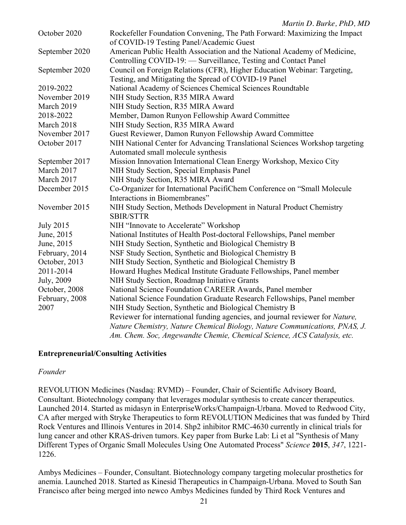|                  | $m$ and $D$ . During, $1 \, \mu$                                                                                                            |
|------------------|---------------------------------------------------------------------------------------------------------------------------------------------|
| October 2020     | Rockefeller Foundation Convening, The Path Forward: Maximizing the Impact<br>of COVID-19 Testing Panel/Academic Guest                       |
| September 2020   | American Public Health Association and the National Academy of Medicine,<br>Controlling COVID-19: - Surveillance, Testing and Contact Panel |
| September 2020   | Council on Foreign Relations (CFR), Higher Education Webinar: Targeting,<br>Testing, and Mitigating the Spread of COVID-19 Panel            |
| 2019-2022        | National Academy of Sciences Chemical Sciences Roundtable                                                                                   |
| November 2019    | NIH Study Section, R35 MIRA Award                                                                                                           |
| March 2019       | NIH Study Section, R35 MIRA Award                                                                                                           |
| 2018-2022        | Member, Damon Runyon Fellowship Award Committee                                                                                             |
| March 2018       | NIH Study Section, R35 MIRA Award                                                                                                           |
| November 2017    | Guest Reviewer, Damon Runyon Fellowship Award Committee                                                                                     |
| October 2017     | NIH National Center for Advancing Translational Sciences Workshop targeting                                                                 |
|                  | Automated small molecule synthesis                                                                                                          |
| September 2017   | Mission Innovation International Clean Energy Workshop, Mexico City                                                                         |
| March 2017       | NIH Study Section, Special Emphasis Panel                                                                                                   |
| March 2017       | NIH Study Section, R35 MIRA Award                                                                                                           |
| December 2015    | Co-Organizer for International PacifiChem Conference on "Small Molecule                                                                     |
|                  | Interactions in Biomembranes"                                                                                                               |
| November 2015    | NIH Study Section, Methods Development in Natural Product Chemistry<br><b>SBIR/STTR</b>                                                     |
| <b>July 2015</b> | NIH "Innovate to Accelerate" Workshop                                                                                                       |
| June, 2015       | National Institutes of Health Post-doctoral Fellowships, Panel member                                                                       |
| June, 2015       | NIH Study Section, Synthetic and Biological Chemistry B                                                                                     |
| February, 2014   | NSF Study Section, Synthetic and Biological Chemistry B                                                                                     |
| October, 2013    | NIH Study Section, Synthetic and Biological Chemistry B                                                                                     |
| 2011-2014        | Howard Hughes Medical Institute Graduate Fellowships, Panel member                                                                          |
| July, 2009       | NIH Study Section, Roadmap Initiative Grants                                                                                                |
| October, 2008    | National Science Foundation CAREER Awards, Panel member                                                                                     |
| February, 2008   | National Science Foundation Graduate Research Fellowships, Panel member                                                                     |
| 2007             | NIH Study Section, Synthetic and Biological Chemistry B                                                                                     |
|                  | Reviewer for international funding agencies, and journal reviewer for Nature,                                                               |
|                  | Nature Chemistry, Nature Chemical Biology, Nature Communications, PNAS, J.                                                                  |
|                  | Am. Chem. Soc, Angewandte Chemie, Chemical Science, ACS Catalysis, etc.                                                                     |

# **Entrepreneurial/Consulting Activities**

# *Founder*

REVOLUTION Medicines (Nasdaq: RVMD) – Founder, Chair of Scientific Advisory Board, Consultant. Biotechnology company that leverages modular synthesis to create cancer therapeutics. Launched 2014. Started as midasyn in EnterpriseWorks/Champaign-Urbana. Moved to Redwood City, CA after merged with Stryke Therapeutics to form REVOLUTION Medicines that was funded by Third Rock Ventures and Illinois Ventures in 2014. Shp2 inhibitor RMC-4630 currently in clinical trials for lung cancer and other KRAS-driven tumors. Key paper from Burke Lab: Li et al "Synthesis of Many Different Types of Organic Small Molecules Using One Automated Process" *Science* **2015**, *347*, 1221- 1226.

Ambys Medicines – Founder, Consultant. Biotechnology company targeting molecular prosthetics for anemia. Launched 2018. Started as Kinesid Therapeutics in Champaign-Urbana. Moved to South San Francisco after being merged into newco Ambys Medicines funded by Third Rock Ventures and